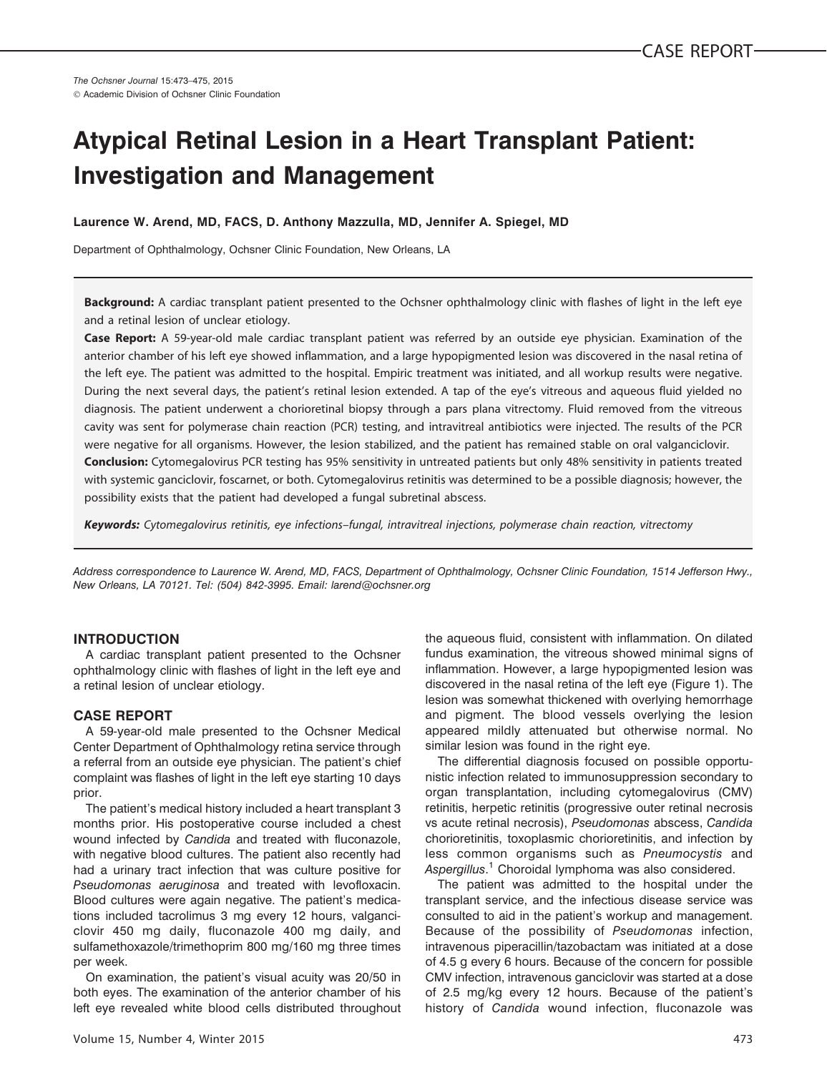# Atypical Retinal Lesion in a Heart Transplant Patient: Investigation and Management

# Laurence W. Arend, MD, FACS, D. Anthony Mazzulla, MD, Jennifer A. Spiegel, MD

Department of Ophthalmology, Ochsner Clinic Foundation, New Orleans, LA

Background: A cardiac transplant patient presented to the Ochsner ophthalmology clinic with flashes of light in the left eye and a retinal lesion of unclear etiology.

Case Report: A 59-year-old male cardiac transplant patient was referred by an outside eye physician. Examination of the anterior chamber of his left eye showed inflammation, and a large hypopigmented lesion was discovered in the nasal retina of the left eye. The patient was admitted to the hospital. Empiric treatment was initiated, and all workup results were negative. During the next several days, the patient's retinal lesion extended. A tap of the eye's vitreous and aqueous fluid yielded no diagnosis. The patient underwent a chorioretinal biopsy through a pars plana vitrectomy. Fluid removed from the vitreous cavity was sent for polymerase chain reaction (PCR) testing, and intravitreal antibiotics were injected. The results of the PCR were negative for all organisms. However, the lesion stabilized, and the patient has remained stable on oral valganciclovir.

Conclusion: Cytomegalovirus PCR testing has 95% sensitivity in untreated patients but only 48% sensitivity in patients treated with systemic ganciclovir, foscarnet, or both. Cytomegalovirus retinitis was determined to be a possible diagnosis; however, the possibility exists that the patient had developed a fungal subretinal abscess.

Keywords: Cytomegalovirus retinitis, eye infections-fungal, intravitreal injections, polymerase chain reaction, vitrectomy

Address correspondence to Laurence W. Arend, MD, FACS, Department of Ophthalmology, Ochsner Clinic Foundation, 1514 Jefferson Hwy., New Orleans, LA 70121. Tel: (504) 842-3995. Email: larend@ochsner.org

# INTRODUCTION

A cardiac transplant patient presented to the Ochsner ophthalmology clinic with flashes of light in the left eye and a retinal lesion of unclear etiology.

# CASE REPORT

A 59-year-old male presented to the Ochsner Medical Center Department of Ophthalmology retina service through a referral from an outside eye physician. The patient's chief complaint was flashes of light in the left eye starting 10 days prior.

The patient's medical history included a heart transplant 3 months prior. His postoperative course included a chest wound infected by Candida and treated with fluconazole, with negative blood cultures. The patient also recently had had a urinary tract infection that was culture positive for Pseudomonas aeruginosa and treated with levofloxacin. Blood cultures were again negative. The patient's medications included tacrolimus 3 mg every 12 hours, valganciclovir 450 mg daily, fluconazole 400 mg daily, and sulfamethoxazole/trimethoprim 800 mg/160 mg three times per week.

On examination, the patient's visual acuity was 20/50 in both eyes. The examination of the anterior chamber of his left eye revealed white blood cells distributed throughout the aqueous fluid, consistent with inflammation. On dilated fundus examination, the vitreous showed minimal signs of inflammation. However, a large hypopigmented lesion was discovered in the nasal retina of the left eye (Figure 1). The lesion was somewhat thickened with overlying hemorrhage and pigment. The blood vessels overlying the lesion appeared mildly attenuated but otherwise normal. No similar lesion was found in the right eye.

The differential diagnosis focused on possible opportunistic infection related to immunosuppression secondary to organ transplantation, including cytomegalovirus (CMV) retinitis, herpetic retinitis (progressive outer retinal necrosis vs acute retinal necrosis), Pseudomonas abscess, Candida chorioretinitis, toxoplasmic chorioretinitis, and infection by less common organisms such as Pneumocystis and Aspergillus.<sup>1</sup> Choroidal lymphoma was also considered.

The patient was admitted to the hospital under the transplant service, and the infectious disease service was consulted to aid in the patient's workup and management. Because of the possibility of Pseudomonas infection, intravenous piperacillin/tazobactam was initiated at a dose of 4.5 g every 6 hours. Because of the concern for possible CMV infection, intravenous ganciclovir was started at a dose of 2.5 mg/kg every 12 hours. Because of the patient's history of Candida wound infection, fluconazole was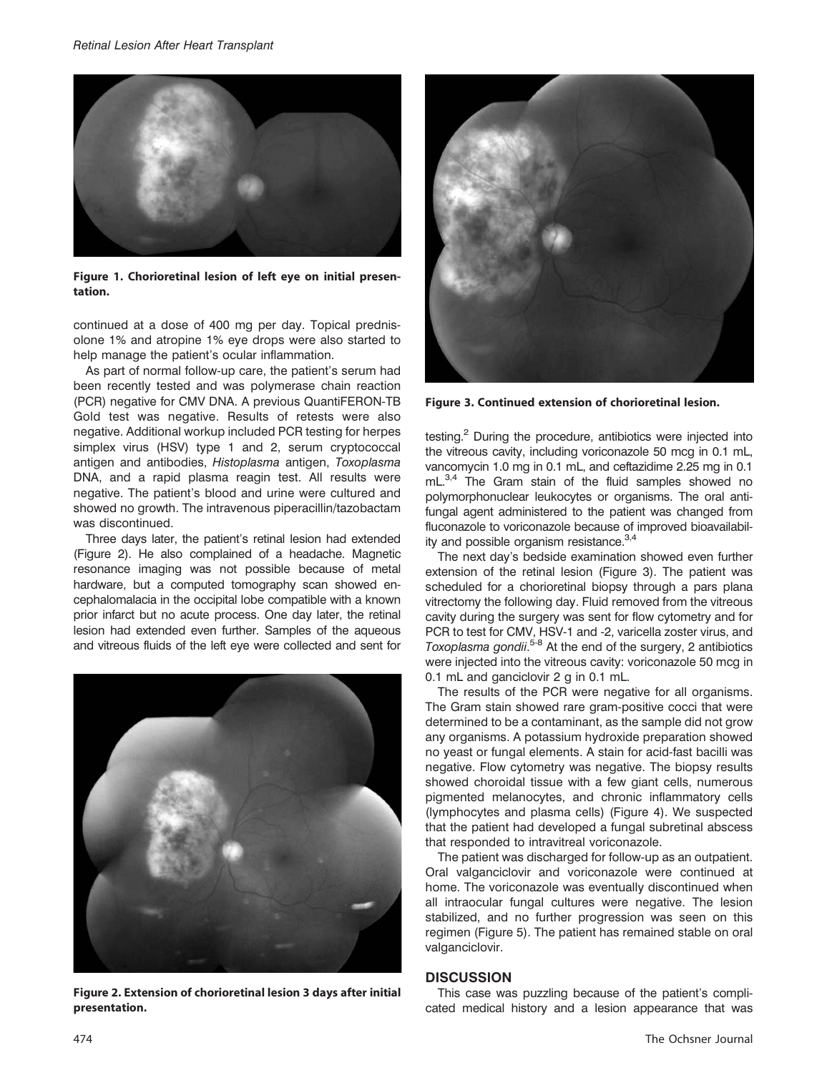

Figure 1. Chorioretinal lesion of left eye on initial presentation.

continued at a dose of 400 mg per day. Topical prednisolone 1% and atropine 1% eye drops were also started to help manage the patient's ocular inflammation.

As part of normal follow-up care, the patient's serum had been recently tested and was polymerase chain reaction (PCR) negative for CMV DNA. A previous QuantiFERON-TB Gold test was negative. Results of retests were also negative. Additional workup included PCR testing for herpes simplex virus (HSV) type 1 and 2, serum cryptococcal antigen and antibodies, Histoplasma antigen, Toxoplasma DNA, and a rapid plasma reagin test. All results were negative. The patient's blood and urine were cultured and showed no growth. The intravenous piperacillin/tazobactam was discontinued.

Three days later, the patient's retinal lesion had extended (Figure 2). He also complained of a headache. Magnetic resonance imaging was not possible because of metal hardware, but a computed tomography scan showed encephalomalacia in the occipital lobe compatible with a known prior infarct but no acute process. One day later, the retinal lesion had extended even further. Samples of the aqueous and vitreous fluids of the left eye were collected and sent for



Figure 2. Extension of chorioretinal lesion 3 days after initial presentation.



Figure 3. Continued extension of chorioretinal lesion.

testing.<sup>2</sup> During the procedure, antibiotics were injected into the vitreous cavity, including voriconazole 50 mcg in 0.1 mL, vancomycin 1.0 mg in 0.1 mL, and ceftazidime 2.25 mg in 0.1 mL.<sup>3,4</sup> The Gram stain of the fluid samples showed no polymorphonuclear leukocytes or organisms. The oral antifungal agent administered to the patient was changed from fluconazole to voriconazole because of improved bioavailability and possible organism resistance. $3,4$ 

The next day's bedside examination showed even further extension of the retinal lesion (Figure 3). The patient was scheduled for a chorioretinal biopsy through a pars plana vitrectomy the following day. Fluid removed from the vitreous cavity during the surgery was sent for flow cytometry and for PCR to test for CMV, HSV-1 and -2, varicella zoster virus, and Toxoplasma gondii.<sup>5-8</sup> At the end of the surgery, 2 antibiotics were injected into the vitreous cavity: voriconazole 50 mcg in 0.1 mL and ganciclovir 2 g in 0.1 mL.

The results of the PCR were negative for all organisms. The Gram stain showed rare gram-positive cocci that were determined to be a contaminant, as the sample did not grow any organisms. A potassium hydroxide preparation showed no yeast or fungal elements. A stain for acid-fast bacilli was negative. Flow cytometry was negative. The biopsy results showed choroidal tissue with a few giant cells, numerous pigmented melanocytes, and chronic inflammatory cells (lymphocytes and plasma cells) (Figure 4). We suspected that the patient had developed a fungal subretinal abscess that responded to intravitreal voriconazole.

The patient was discharged for follow-up as an outpatient. Oral valganciclovir and voriconazole were continued at home. The voriconazole was eventually discontinued when all intraocular fungal cultures were negative. The lesion stabilized, and no further progression was seen on this regimen (Figure 5). The patient has remained stable on oral valganciclovir.

#### **DISCUSSION**

This case was puzzling because of the patient's complicated medical history and a lesion appearance that was